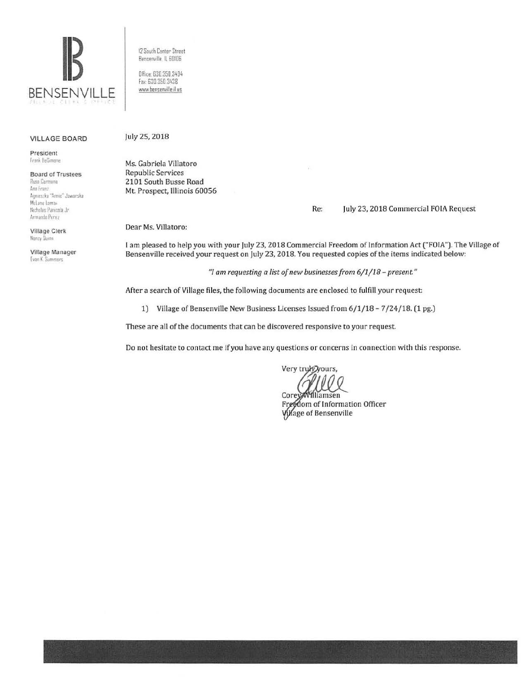

12 South Center Street Bensenville IL 60106

Ofiice: 630.350.3404 fa• 630 350.3438 www.bensenville.il us

## VILLAGE BOARD

President Frank DeSimone

Board of Trustees Rusa Carmona Ann Franz Agnieszka "Annie" Jawarska McLane Lomax Nicholas Panicola Jr Armando Perez

Village Clerk Nancy Daimn

Village Manager **Evan K. Summers** 

July 25, 2018

Ms. Gabriela Villatoro Republic Services 2101 South Busse Road Mt. Prospect, Illinois 60056

Re: July 23, 2018 Commercial FOIA Request

Dear Ms. Villatoro:

I am pleased to help you with your July 23, 2018 Commercial Freedom of Information Act ("FOIA"). The Village of Bensenville received your request on July 23. 2018. You requested copies of the items indicated below:

*"!am requesting a list of new businesses from 6/1/18 - present"* 

After a search of Village files, the following documents are enclosed to fulfill your request:

1) Village of Bensenville New Business Licenses Issued from 6/1/18 - 7 /24/18. (1 pg.)

These are all of the documents that can be discovered responsive to your request

Do not hesitate to contact me if you have any questions or concerns in connection with this response.

Very truky yours,

Corey/Williamsen Freedom of Information Officer Village of Bensenville